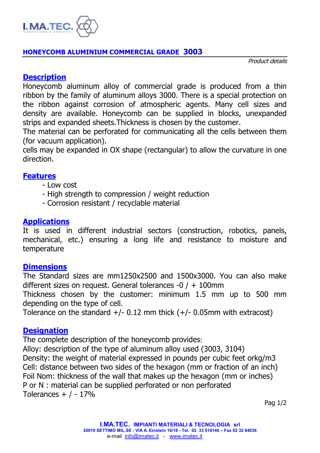

#### **HONEYCOMB ALUMINIUM COMMERCIAL GRADE 3003**

Product details

## **Description**

Honeycomb aluminum alloy of commercial grade is produced from a thin ribbon by the family of aluminum alloys 3000. There is a special protection on the ribbon against corrosion of atmospheric agents. Many cell sizes and density are available. Honeycomb can be supplied in blocks, unexpanded strips and expanded sheets.Thickness is chosen by the customer.

The material can be perforated for communicating all the cells between them (for vacuum application).

cells may be expanded in OX shape (rectangular) to allow the curvature in one direction.

## **Features**

- Low cost
- High strength to compression / weight reduction
- Corrosion resistant / recyclable material

## **Applications**

It is used in different industrial sectors (construction, robotics, panels, mechanical, etc.) ensuring a long life and resistance to moisture and temperature

#### **Dimensions**

The Standard sizes are mm1250x2500 and 1500x3000. You can also make different sizes on request. General tolerances -0 / + 100mm

Thickness chosen by the customer: minimum 1.5 mm up to 500 mm depending on the type of cell.

Tolerance on the standard  $+/- 0.12$  mm thick  $(+/- 0.05$ mm with extracost)

# **Designation**

The complete description of the honeycomb provides:

Alloy: description of the type of aluminum alloy used (3003, 3104) Density: the weight of material expressed in pounds per cubic feet orkg/m3 Cell: distance between two sides of the hexagon (mm or fraction of an inch) Foil Nom: thickness of the wall that makes up the hexagon (mm or inches) P or N : material can be supplied perforated or non perforated Tolerances  $+$  / - 17%